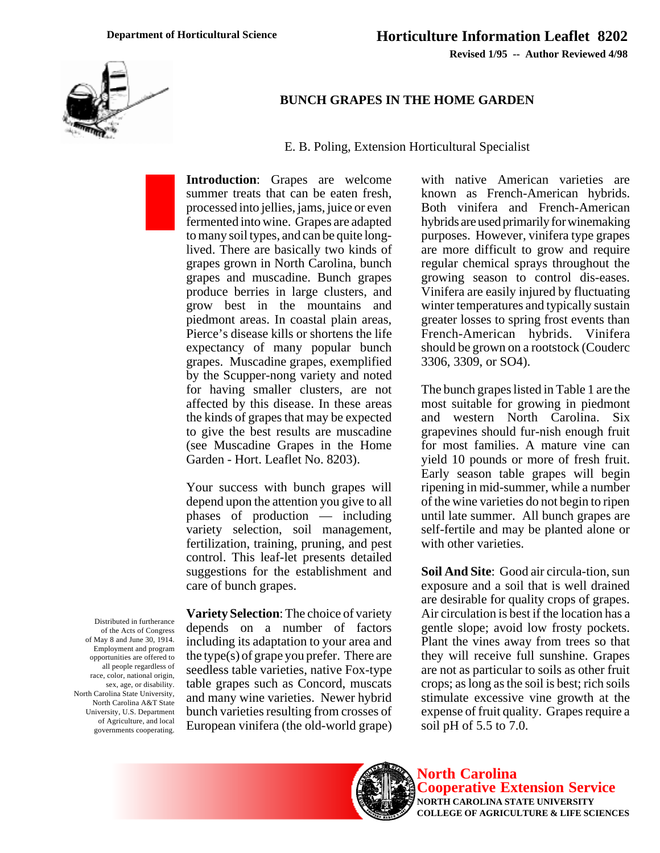

## **BUNCH GRAPES IN THE HOME GARDEN**

E. B. Poling, Extension Horticultural Specialist

**Introduction**: Grapes are welcome summer treats that can be eaten fresh, processed into jellies, jams, juice or even fermented into wine. Grapes are adapted to many soil types, and can be quite longlived. There are basically two kinds of grapes grown in North Carolina, bunch grapes and muscadine. Bunch grapes produce berries in large clusters, and grow best in the mountains and piedmont areas. In coastal plain areas, Pierce's disease kills or shortens the life expectancy of many popular bunch grapes. Muscadine grapes, exemplified by the Scupper-nong variety and noted for having smaller clusters, are not affected by this disease. In these areas the kinds of grapes that may be expected to give the best results are muscadine (see Muscadine Grapes in the Home Garden - Hort. Leaflet No. 8203).

Your success with bunch grapes will depend upon the attention you give to all phases of production — including variety selection, soil management, fertilization, training, pruning, and pest control. This leaf-let presents detailed suggestions for the establishment and care of bunch grapes.

**Variety Selection**: The choice of variety depends on a number of factors including its adaptation to your area and the type(s) of grape you prefer. There are seedless table varieties, native Fox-type table grapes such as Concord, muscats and many wine varieties. Newer hybrid bunch varieties resulting from crosses of

European vinifera (the old-world grape)

with native American varieties are known as French-American hybrids. Both vinifera and French-American hybrids are used primarily for winemaking purposes. However, vinifera type grapes are more difficult to grow and require regular chemical sprays throughout the growing season to control dis-eases. Vinifera are easily injured by fluctuating winter temperatures and typically sustain greater losses to spring frost events than French-American hybrids. Vinifera should be grown on a rootstock (Couderc 3306, 3309, or SO4).

The bunch grapes listed in Table 1 are the most suitable for growing in piedmont and western North Carolina. Six grapevines should fur-nish enough fruit for most families. A mature vine can yield 10 pounds or more of fresh fruit. Early season table grapes will begin ripening in mid-summer, while a number of the wine varieties do not begin to ripen until late summer. All bunch grapes are self-fertile and may be planted alone or with other varieties.

**Soil And Site**: Good air circula-tion, sun exposure and a soil that is well drained are desirable for quality crops of grapes. Air circulation is best if the location has a gentle slope; avoid low frosty pockets. Plant the vines away from trees so that they will receive full sunshine. Grapes are not as particular to soils as other fruit crops; as long as the soil is best; rich soils stimulate excessive vine growth at the expense of fruit quality. Grapes require a soil pH of 5.5 to 7.0.



Distributed in furtherance of the Acts of Congress of May 8 and June 30, 1914. Employment and program opportunities are offered to all people regardless of race, color, national origin, sex, age, or disability. North Carolina State University, North Carolina A&T State University, U.S. Department of Agriculture, and local governments cooperating.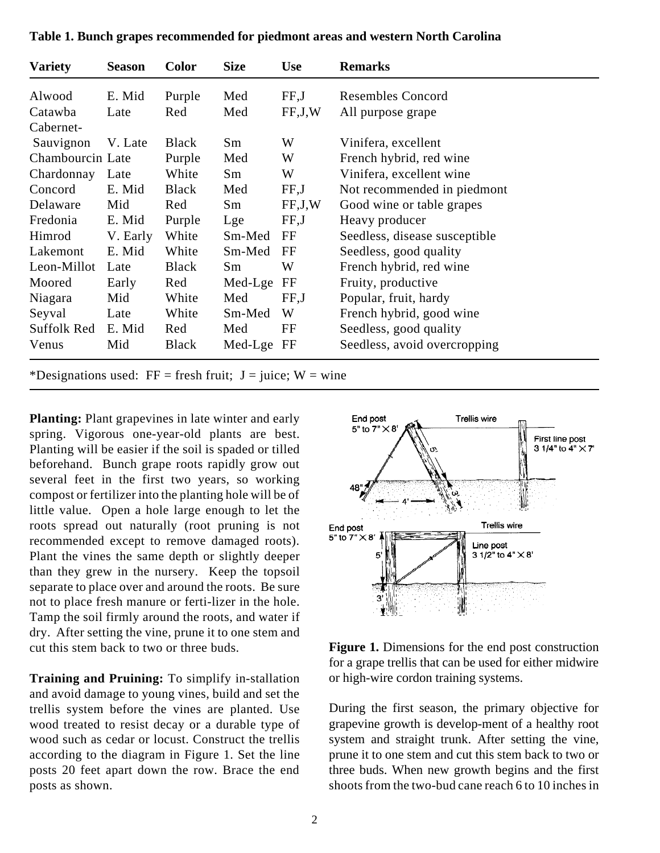| <b>Variety</b>   | <b>Season</b> | <b>Color</b> | <b>Size</b> | <b>Use</b>  | <b>Remarks</b>                |
|------------------|---------------|--------------|-------------|-------------|-------------------------------|
| Alwood           | E. Mid        | Purple       | Med         | FF,J        | <b>Resembles Concord</b>      |
| Catawba          | Late          | Red          | Med         | FF, J, W    | All purpose grape             |
| Cabernet-        |               |              |             |             |                               |
| Sauvignon        | V. Late       | <b>Black</b> | Sm          | W           | Vinifera, excellent           |
| Chambourcin Late |               | Purple       | Med         | W           | French hybrid, red wine       |
| Chardonnay       | Late          | White        | Sm          | W           | Vinifera, excellent wine      |
| Concord          | E. Mid        | <b>Black</b> | Med         | FF, J       | Not recommended in piedmont   |
| Delaware         | Mid           | Red          | Sm          | FF, J, W    | Good wine or table grapes     |
| Fredonia         | E. Mid        | Purple       | Lge         | FF,J        | Heavy producer                |
| Himrod           | V. Early      | White        | Sm-Med      | FF          | Seedless, disease susceptible |
| Lakemont         | E. Mid        | White        | Sm-Med      | FF          | Seedless, good quality        |
| Leon-Millot      | Late          | <b>Black</b> | Sm          | W           | French hybrid, red wine       |
| Moored           | Early         | Red          | Med-Lge     | $_{\rm FF}$ | Fruity, productive            |
| Niagara          | Mid           | White        | Med         | FF, J       | Popular, fruit, hardy         |
| Seyval           | Late          | White        | Sm-Med      | W           | French hybrid, good wine      |
| Suffolk Red      | E. Mid        | Red          | Med         | FF          | Seedless, good quality        |
| Venus            | Mid           | <b>Black</b> | Med-Lge FF  |             | Seedless, avoid overcropping  |

**Table 1. Bunch grapes recommended for piedmont areas and western North Carolina**

\*Designations used:  $FF = fresh fruit$ ; J = juice; W = wine

**Planting:** Plant grapevines in late winter and early spring. Vigorous one-year-old plants are best. Planting will be easier if the soil is spaded or tilled beforehand. Bunch grape roots rapidly grow out several feet in the first two years, so working compost or fertilizer into the planting hole will be of little value. Open a hole large enough to let the roots spread out naturally (root pruning is not recommended except to remove damaged roots). Plant the vines the same depth or slightly deeper than they grew in the nursery. Keep the topsoil separate to place over and around the roots. Be sure not to place fresh manure or ferti-lizer in the hole. Tamp the soil firmly around the roots, and water if dry. After setting the vine, prune it to one stem and cut this stem back to two or three buds.

**Training and Pruining:** To simplify in-stallation and avoid damage to young vines, build and set the trellis system before the vines are planted. Use wood treated to resist decay or a durable type of wood such as cedar or locust. Construct the trellis according to the diagram in Figure 1. Set the line posts 20 feet apart down the row. Brace the end posts as shown.



**Figure 1.** Dimensions for the end post construction for a grape trellis that can be used for either midwire or high-wire cordon training systems.

During the first season, the primary objective for grapevine growth is develop-ment of a healthy root system and straight trunk. After setting the vine, prune it to one stem and cut this stem back to two or three buds. When new growth begins and the first shoots from the two-bud cane reach 6 to 10 inches in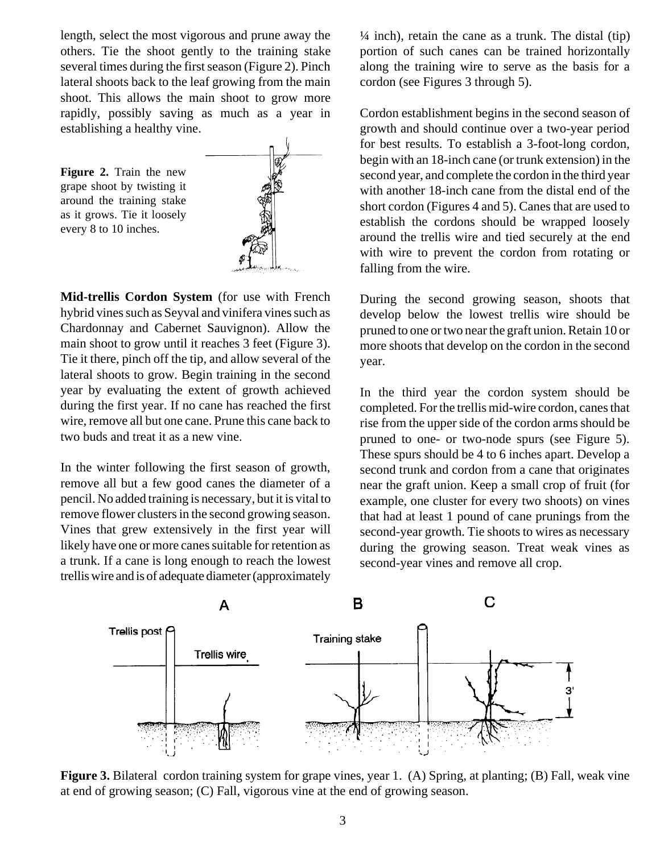length, select the most vigorous and prune away the others. Tie the shoot gently to the training stake several times during the first season (Figure 2). Pinch lateral shoots back to the leaf growing from the main shoot. This allows the main shoot to grow more rapidly, possibly saving as much as a year in establishing a healthy vine.

**Figure 2.** Train the new grape shoot by twisting it around the training stake as it grows. Tie it loosely every 8 to 10 inches.



**Mid-trellis Cordon System** (for use with French hybrid vines such as Seyval and vinifera vines such as Chardonnay and Cabernet Sauvignon). Allow the main shoot to grow until it reaches 3 feet (Figure 3). Tie it there, pinch off the tip, and allow several of the lateral shoots to grow. Begin training in the second year by evaluating the extent of growth achieved during the first year. If no cane has reached the first wire, remove all but one cane. Prune this cane back to two buds and treat it as a new vine.

In the winter following the first season of growth, remove all but a few good canes the diameter of a pencil. No added training is necessary, but it is vital to remove flower clusters in the second growing season. Vines that grew extensively in the first year will likely have one or more canes suitable for retention as a trunk. If a cane is long enough to reach the lowest trellis wire and is of adequate diameter (approximately  $\frac{1}{4}$  inch), retain the cane as a trunk. The distal (tip) portion of such canes can be trained horizontally along the training wire to serve as the basis for a cordon (see Figures 3 through 5).

Cordon establishment begins in the second season of growth and should continue over a two-year period for best results. To establish a 3-foot-long cordon, begin with an 18-inch cane (or trunk extension) in the second year, and complete the cordon in the third year with another 18-inch cane from the distal end of the short cordon (Figures 4 and 5). Canes that are used to establish the cordons should be wrapped loosely around the trellis wire and tied securely at the end with wire to prevent the cordon from rotating or falling from the wire.

During the second growing season, shoots that develop below the lowest trellis wire should be pruned to one or two near the graft union. Retain 10 or more shoots that develop on the cordon in the second year.

In the third year the cordon system should be completed. For the trellis mid-wire cordon, canes that rise from the upper side of the cordon arms should be pruned to one- or two-node spurs (see Figure 5). These spurs should be 4 to 6 inches apart. Develop a second trunk and cordon from a cane that originates near the graft union. Keep a small crop of fruit (for example, one cluster for every two shoots) on vines that had at least 1 pound of cane prunings from the second-year growth. Tie shoots to wires as necessary during the growing season. Treat weak vines as second-year vines and remove all crop.



**Figure 3.** Bilateral cordon training system for grape vines, year 1. (A) Spring, at planting; (B) Fall, weak vine at end of growing season; (C) Fall, vigorous vine at the end of growing season.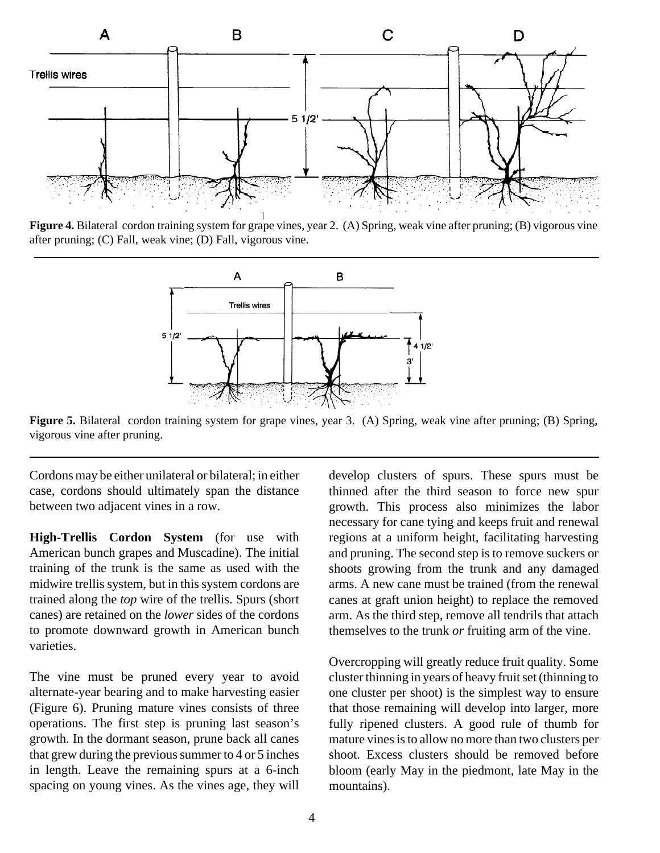

**Figure 4.** Bilateral cordon training system for grape vines, year 2. (A) Spring, weak vine after pruning; (B) vigorous vine after pruning; (C) Fall, weak vine; (D) Fall, vigorous vine.



**Figure 5.** Bilateral cordon training system for grape vines, year 3. (A) Spring, weak vine after pruning; (B) Spring, vigorous vine after pruning.

Cordons may be either unilateral or bilateral; in either case, cordons should ultimately span the distance between two adjacent vines in a row.

**High-Trellis Cordon System** (for use with American bunch grapes and Muscadine). The initial training of the trunk is the same as used with the midwire trellis system, but in this system cordons are trained along the *top* wire of the trellis. Spurs (short canes) are retained on the *lower* sides of the cordons to promote downward growth in American bunch varieties.

The vine must be pruned every year to avoid alternate-year bearing and to make harvesting easier (Figure 6). Pruning mature vines consists of three operations. The first step is pruning last season's growth. In the dormant season, prune back all canes that grew during the previous summer to 4 or 5 inches in length. Leave the remaining spurs at a 6-inch spacing on young vines. As the vines age, they will develop clusters of spurs. These spurs must be thinned after the third season to force new spur growth. This process also minimizes the labor necessary for cane tying and keeps fruit and renewal regions at a uniform height, facilitating harvesting and pruning. The second step is to remove suckers or shoots growing from the trunk and any damaged arms. A new cane must be trained (from the renewal canes at graft union height) to replace the removed arm. As the third step, remove all tendrils that attach themselves to the trunk *or* fruiting arm of the vine.

Overcropping will greatly reduce fruit quality. Some cluster thinning in years of heavy fruit set (thinning to one cluster per shoot) is the simplest way to ensure that those remaining will develop into larger, more fully ripened clusters. A good rule of thumb for mature vines is to allow no more than two clusters per shoot. Excess clusters should be removed before bloom (early May in the piedmont, late May in the mountains).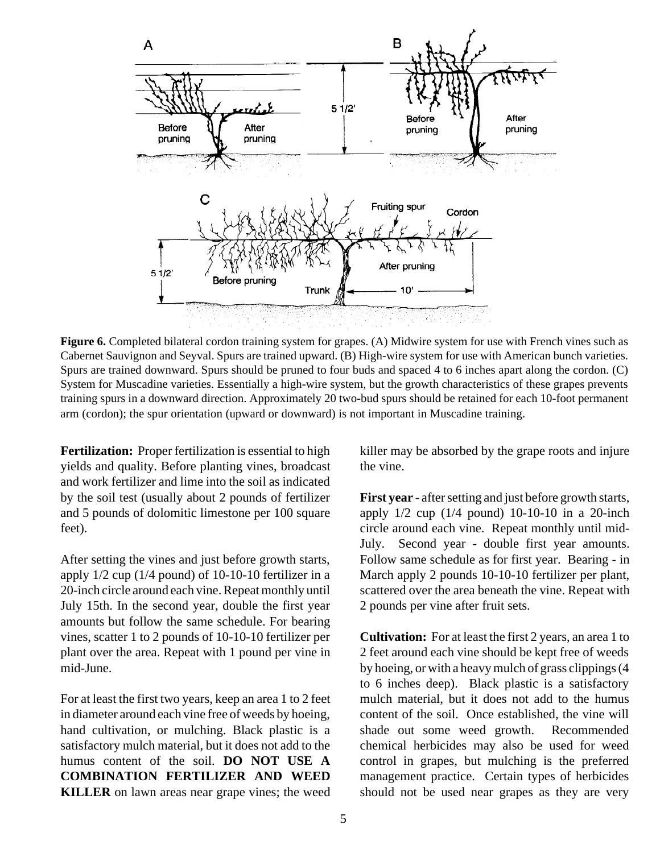

**Figure 6.** Completed bilateral cordon training system for grapes. (A) Midwire system for use with French vines such as Cabernet Sauvignon and Seyval. Spurs are trained upward. (B) High-wire system for use with American bunch varieties. Spurs are trained downward. Spurs should be pruned to four buds and spaced 4 to 6 inches apart along the cordon. (C) System for Muscadine varieties. Essentially a high-wire system, but the growth characteristics of these grapes prevents training spurs in a downward direction. Approximately 20 two-bud spurs should be retained for each 10-foot permanent arm (cordon); the spur orientation (upward or downward) is not important in Muscadine training.

**Fertilization:** Proper fertilization is essential to high yields and quality. Before planting vines, broadcast and work fertilizer and lime into the soil as indicated by the soil test (usually about 2 pounds of fertilizer and 5 pounds of dolomitic limestone per 100 square feet).

After setting the vines and just before growth starts, apply 1/2 cup (1/4 pound) of 10-10-10 fertilizer in a 20-inch circle around each vine. Repeat monthly until July 15th. In the second year, double the first year amounts but follow the same schedule. For bearing vines, scatter 1 to 2 pounds of 10-10-10 fertilizer per plant over the area. Repeat with 1 pound per vine in mid-June.

For at least the first two years, keep an area 1 to 2 feet in diameter around each vine free of weeds by hoeing, hand cultivation, or mulching. Black plastic is a satisfactory mulch material, but it does not add to the humus content of the soil. **DO NOT USE A COMBINATION FERTILIZER AND WEED KILLER** on lawn areas near grape vines; the weed killer may be absorbed by the grape roots and injure the vine.

**First year** - after setting and just before growth starts, apply 1/2 cup (1/4 pound) 10-10-10 in a 20-inch circle around each vine. Repeat monthly until mid-July. Second year - double first year amounts. Follow same schedule as for first year. Bearing - in March apply 2 pounds 10-10-10 fertilizer per plant, scattered over the area beneath the vine. Repeat with 2 pounds per vine after fruit sets.

**Cultivation:** For at least the first 2 years, an area 1 to 2 feet around each vine should be kept free of weeds by hoeing, or with a heavy mulch of grass clippings (4 to 6 inches deep). Black plastic is a satisfactory mulch material, but it does not add to the humus content of the soil. Once established, the vine will shade out some weed growth. Recommended chemical herbicides may also be used for weed control in grapes, but mulching is the preferred management practice. Certain types of herbicides should not be used near grapes as they are very